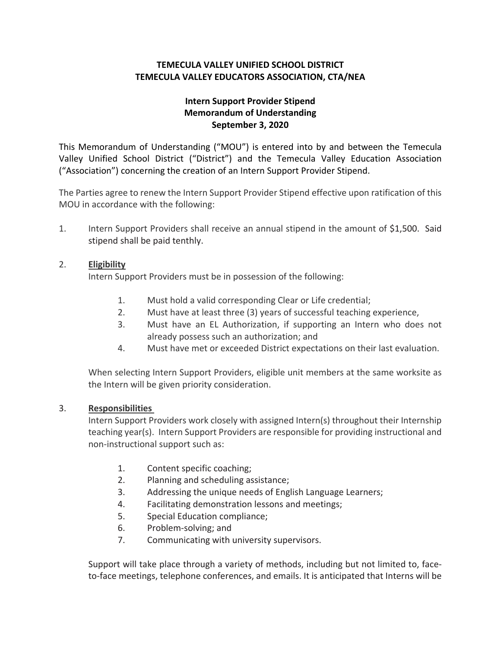## **TEMECULA VALLEY UNIFIED SCHOOL DISTRICT TEMECULA VALLEY EDUCATORS ASSOCIATION, CTA/NEA**

## **Intern Support Provider Stipend Memorandum of Understanding September 3, 2020**

This Memorandum of Understanding ("MOU") is entered into by and between the Temecula Valley Unified School District ("District") and the Temecula Valley Education Association ("Association") concerning the creation of an Intern Support Provider Stipend.

The Parties agree to renew the Intern Support Provider Stipend effective upon ratification of this MOU in accordance with the following:

1. Intern Support Providers shall receive an annual stipend in the amount of \$1,500. Said stipend shall be paid tenthly.

## 2. **Eligibility**

Intern Support Providers must be in possession of the following:

- 1. Must hold a valid corresponding Clear or Life credential;
- 2. Must have at least three (3) years of successful teaching experience,
- 3. Must have an EL Authorization, if supporting an Intern who does not already possess such an authorization; and
- 4. Must have met or exceeded District expectations on their last evaluation.

When selecting Intern Support Providers, eligible unit members at the same worksite as the Intern will be given priority consideration.

## 3. **Responsibilities**

Intern Support Providers work closely with assigned Intern(s) throughout their Internship teaching year(s). Intern Support Providers are responsible for providing instructional and non-instructional support such as:

- 1. Content specific coaching;
- 2. Planning and scheduling assistance;
- 3. Addressing the unique needs of English Language Learners;
- 4. Facilitating demonstration lessons and meetings;
- 5. Special Education compliance;
- 6. Problem-solving; and
- 7. Communicating with university supervisors.

Support will take place through a variety of methods, including but not limited to, faceto-face meetings, telephone conferences, and emails. It is anticipated that Interns will be